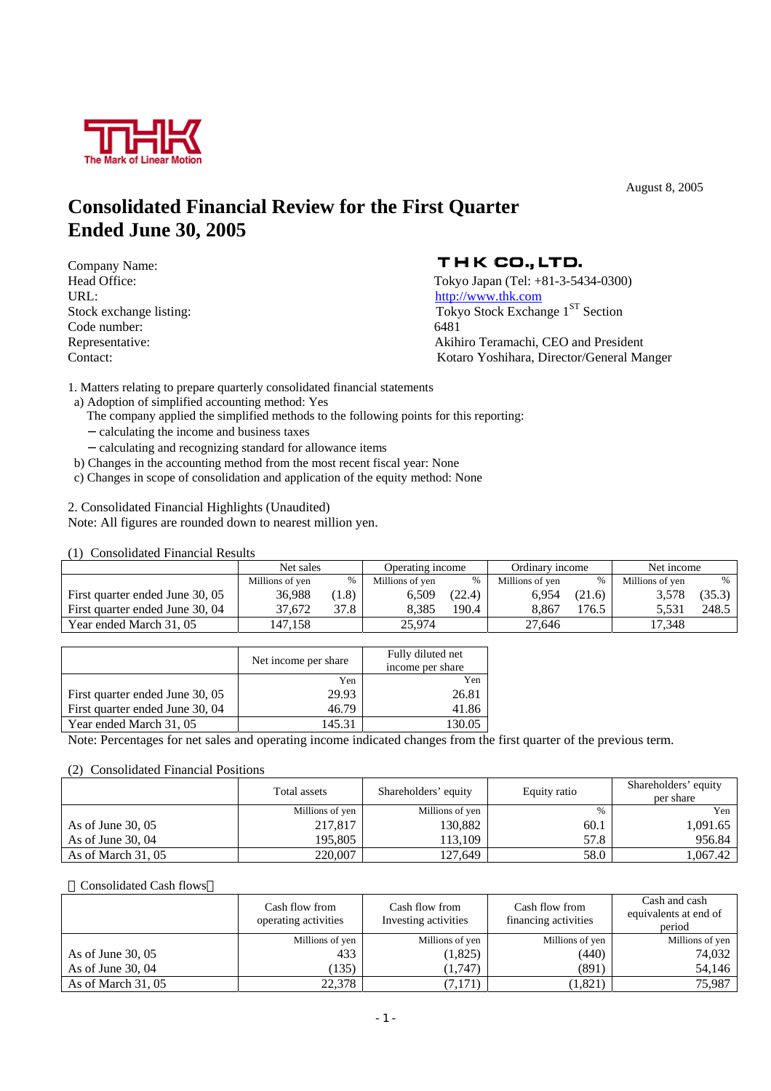

August 8, 2005

## **Consolidated Financial Review for the First Quarter Ended June 30, 2005**

Company Name: URL:  $\frac{http://www.thk.com}{http://www.thk.com}$ Code number: 6481

### THK CO., LTD.

Head Office: Tokyo Japan (Tel: +81-3-5434-0300) Stock exchange listing: Tokyo Stock Exchange 1<sup>ST</sup> Section Representative: Akihiro Teramachi, CEO and President Contact: Kotaro Yoshihara, Director/General Manger

1. Matters relating to prepare quarterly consolidated financial statements

- a) Adoption of simplified accounting method: Yes
	- The company applied the simplified methods to the following points for this reporting: calculating the income and business taxes
	- calculating and recognizing standard for allowance items
- b) Changes in the accounting method from the most recent fiscal year: None
- c) Changes in scope of consolidation and application of the equity method: None

2. Consolidated Financial Highlights (Unaudited)

Note: All figures are rounded down to nearest million yen.

(1) Consolidated Financial Results

|                                 | Net sales       |      | Operating income |        | Ordinary income |        | Net income      |            |
|---------------------------------|-----------------|------|------------------|--------|-----------------|--------|-----------------|------------|
|                                 | Millions of yen | %    | Millions of ven  | $\%$   | Millions of yen |        | Millions of yen | $\%$       |
| First quarter ended June 30, 05 | 36.988          | 1.8) | 6.509            | (22.4) | 6.954           | (21.6) | 3.578           | $(35.3)$ ' |
| First quarter ended June 30, 04 | 37.672          | 37.8 | 8.385            | 190.4  | 8.867           | .76.5  | 5.531           | 248.5      |
| Year ended March 31, 05         | 47.158          |      | 25,974           |        | 27.646          |        | 17.348          |            |

|                                 | Net income per share | Fully diluted net |
|---------------------------------|----------------------|-------------------|
|                                 |                      | income per share  |
|                                 | Yen                  | Yen               |
| First quarter ended June 30, 05 | 29.93                | 26.81             |
| First quarter ended June 30, 04 | 46.79                | 41.86             |
| Year ended March 31, 05         | 145.31               |                   |

Note: Percentages for net sales and operating income indicated changes from the first quarter of the previous term.

#### (2) Consolidated Financial Positions

|                     | Total assets    | Shareholders' equity | Equity ratio | Shareholders' equity<br>per share |  |
|---------------------|-----------------|----------------------|--------------|-----------------------------------|--|
|                     | Millions of yen | Millions of yen      | $\%$         | Yen                               |  |
| As of June $30,05$  | 217,817         | 130.882              | 60.1         | 1,091.65                          |  |
| As of June $30,04$  | 195.805         | 113.109              | 57.8         | 956.84                            |  |
| As of March $31,05$ | 220,007         | 127.649              | 58.0         | 1,067.42                          |  |

Consolidated Cash flows

|                     | Cash flow from<br>operating activities | Cash flow from<br>Investing activities | Cash flow from<br>financing activities | Cash and cash<br>equivalents at end of<br>period |
|---------------------|----------------------------------------|----------------------------------------|----------------------------------------|--------------------------------------------------|
|                     | Millions of yen                        | Millions of yen                        | Millions of yen                        | Millions of yen                                  |
| As of June $30,05$  | 433                                    | (1,825)                                | (440)                                  | 74,032                                           |
| As of June $30,04$  | (135)                                  | (1,747)                                | (891)                                  | 54,146                                           |
| As of March $31,05$ | 22.378                                 | (7,171)                                | (1,821)                                | 75.987                                           |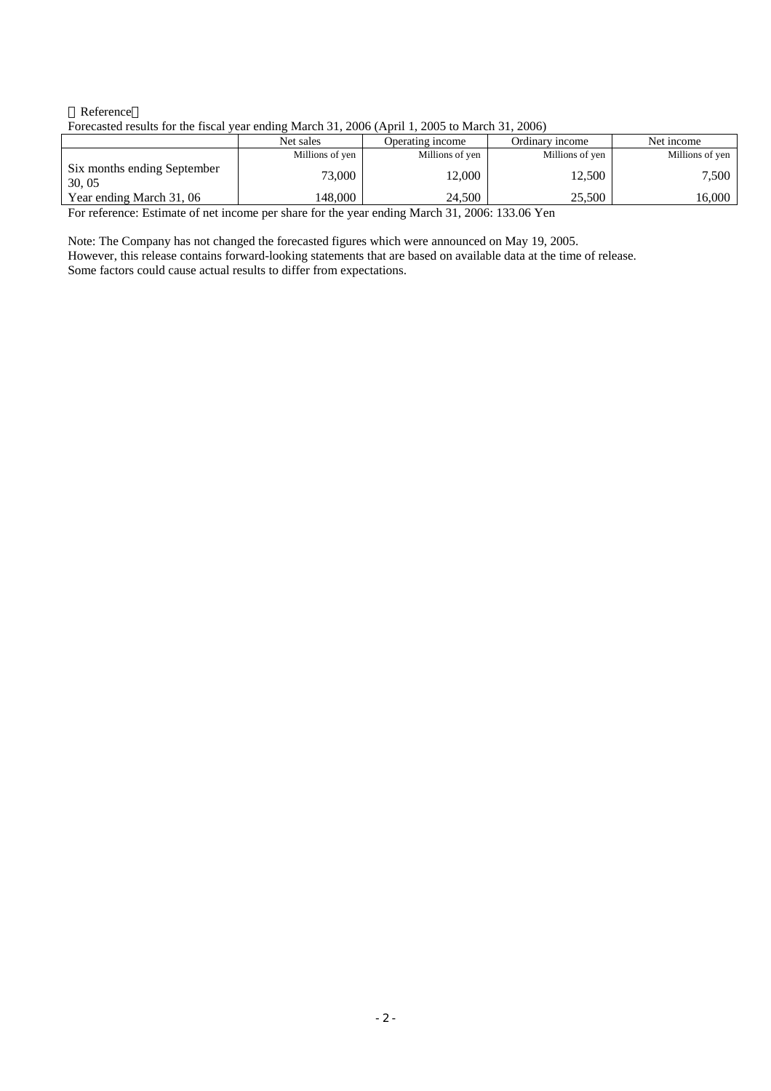#### Reference Forecasted results for the fiscal year ending March 31, 2006 (April 1, 2005 to March 31, 2006)

|                                       | Net sales       | Operating income | Ordinary income | Net income      |
|---------------------------------------|-----------------|------------------|-----------------|-----------------|
|                                       | Millions of yen | Millions of yen  | Millions of yen | Millions of yen |
| Six months ending September<br>30, 05 | 73,000          | 12,000           | 12,500          | 7.500           |
| Year ending March 31, 06              | 148.000         | 24.500           | 25.500          | 16,000          |

For reference: Estimate of net income per share for the year ending March 31, 2006: 133.06 Yen

Note: The Company has not changed the forecasted figures which were announced on May 19, 2005. However, this release contains forward-looking statements that are based on available data at the time of release. Some factors could cause actual results to differ from expectations.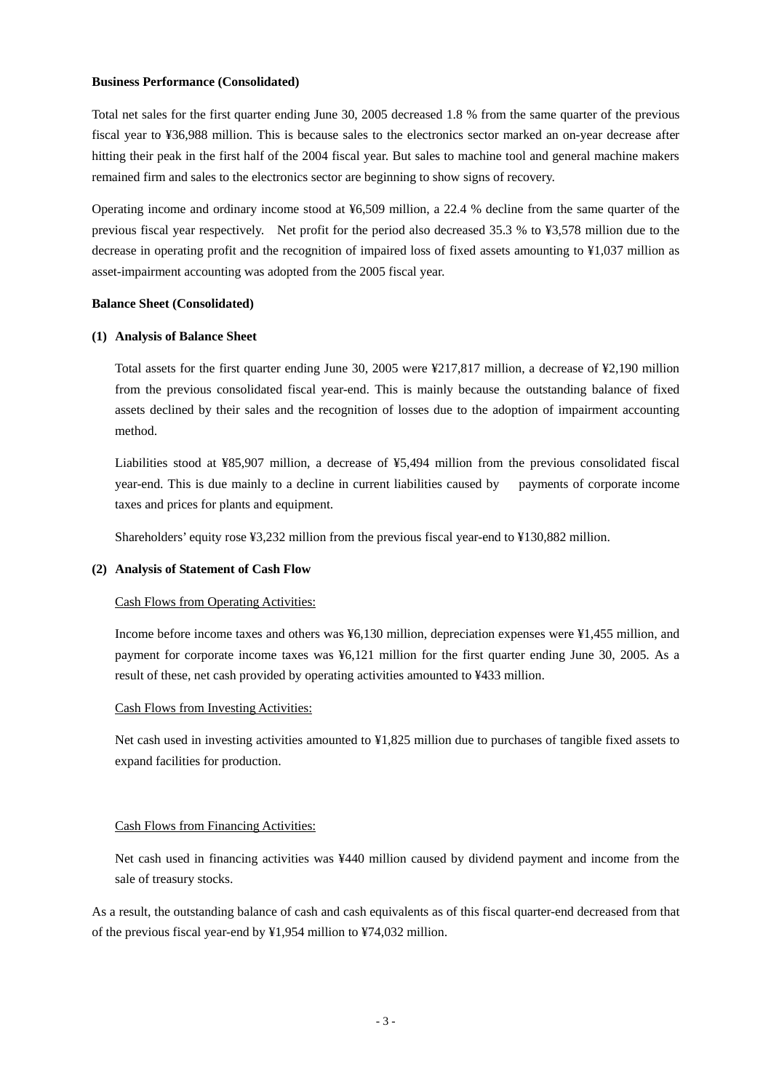#### **Business Performance (Consolidated)**

Total net sales for the first quarter ending June 30, 2005 decreased 1.8 % from the same quarter of the previous fiscal year to ¥36,988 million. This is because sales to the electronics sector marked an on-year decrease after hitting their peak in the first half of the 2004 fiscal year. But sales to machine tool and general machine makers remained firm and sales to the electronics sector are beginning to show signs of recovery.

Operating income and ordinary income stood at ¥6,509 million, a 22.4 % decline from the same quarter of the previous fiscal year respectively. Net profit for the period also decreased 35.3 % to ¥3,578 million due to the decrease in operating profit and the recognition of impaired loss of fixed assets amounting to ¥1,037 million as asset-impairment accounting was adopted from the 2005 fiscal year.

#### **Balance Sheet (Consolidated)**

#### **(1) Analysis of Balance Sheet**

Total assets for the first quarter ending June 30, 2005 were ¥217,817 million, a decrease of ¥2,190 million from the previous consolidated fiscal year-end. This is mainly because the outstanding balance of fixed assets declined by their sales and the recognition of losses due to the adoption of impairment accounting method.

Liabilities stood at ¥85,907 million, a decrease of ¥5,494 million from the previous consolidated fiscal year-end. This is due mainly to a decline in current liabilities caused by payments of corporate income taxes and prices for plants and equipment.

Shareholders' equity rose ¥3,232 million from the previous fiscal year-end to ¥130,882 million.

#### **(2) Analysis of Statement of Cash Flow**

#### Cash Flows from Operating Activities:

Income before income taxes and others was ¥6,130 million, depreciation expenses were ¥1,455 million, and payment for corporate income taxes was ¥6,121 million for the first quarter ending June 30, 2005. As a result of these, net cash provided by operating activities amounted to ¥433 million.

#### Cash Flows from Investing Activities:

Net cash used in investing activities amounted to ¥1,825 million due to purchases of tangible fixed assets to expand facilities for production.

#### Cash Flows from Financing Activities:

Net cash used in financing activities was ¥440 million caused by dividend payment and income from the sale of treasury stocks.

As a result, the outstanding balance of cash and cash equivalents as of this fiscal quarter-end decreased from that of the previous fiscal year-end by ¥1,954 million to ¥74,032 million.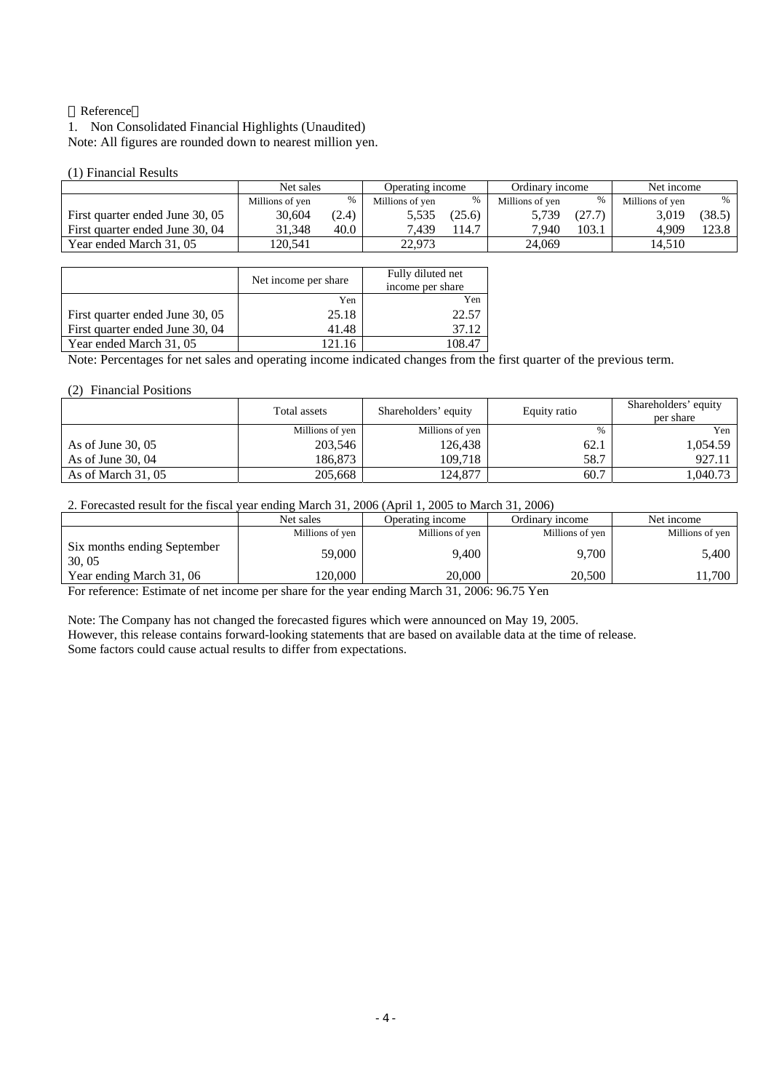#### Reference

1. Non Consolidated Financial Highlights (Unaudited) Note: All figures are rounded down to nearest million yen.

#### (1) Financial Results

|                                 | Net sales       |       | Operating income |        | Ordinary income |        | Net income      |        |
|---------------------------------|-----------------|-------|------------------|--------|-----------------|--------|-----------------|--------|
|                                 | Millions of yen | %     | Millions of yen  | %      | Millions of ven | $\%$   | Millions of ven | $\%$   |
| First quarter ended June 30, 05 | 30.604          | (2.4) | 5,535            | (25.6) | 5,739           | (27.7) | 3.019           | (38.5) |
| First quarter ended June 30, 04 | 31.348          | 40.0  | 7.439            | 14.7   | 7.940           | 103.1  | 4.909           | 123.8  |
| Year ended March 31, 05         | 120.541         |       | 22.973           |        | 24,069          |        | 14.510          |        |

|                                 | Net income per share | Fully diluted net<br>income per share |
|---------------------------------|----------------------|---------------------------------------|
|                                 | Yen                  | Yen                                   |
| First quarter ended June 30, 05 | 25.18                | 22.57                                 |
| First quarter ended June 30, 04 | 41.48                | 37.12                                 |
| Year ended March 31, 05         | 121.16               | 108 47                                |

Note: Percentages for net sales and operating income indicated changes from the first quarter of the previous term.

#### (2) Financial Positions

|                     | Total assets    | Shareholders' equity | Equity ratio | Shareholders' equity<br>per share |
|---------------------|-----------------|----------------------|--------------|-----------------------------------|
|                     | Millions of yen | Millions of yen      | %            | Yen                               |
| As of June $30,05$  | 203.546         | 126.438              | 62.1         | 1.054.59                          |
| As of June $30.04$  | 186.873         | 109.718              | 58.7         | 927.11                            |
| As of March $31,05$ | 205,668         | 124,877              | 60.7         | 1,040.73                          |

2. Forecasted result for the fiscal year ending March 31, 2006 (April 1, 2005 to March 31, 2006)

|                                      | Net sales       | Operating income | Ordinary income | Net income      |
|--------------------------------------|-----------------|------------------|-----------------|-----------------|
|                                      | Millions of yen | Millions of yen  | Millions of yen | Millions of yen |
| Six months ending September<br>30.05 | 59,000          | 9.400            | 9.700           | 5,400           |
| Year ending March 31, 06             | 120.000         | 20,000           | 20.500          | 1,700           |

For reference: Estimate of net income per share for the year ending March 31, 2006: 96.75 Yen

Note: The Company has not changed the forecasted figures which were announced on May 19, 2005. However, this release contains forward-looking statements that are based on available data at the time of release. Some factors could cause actual results to differ from expectations.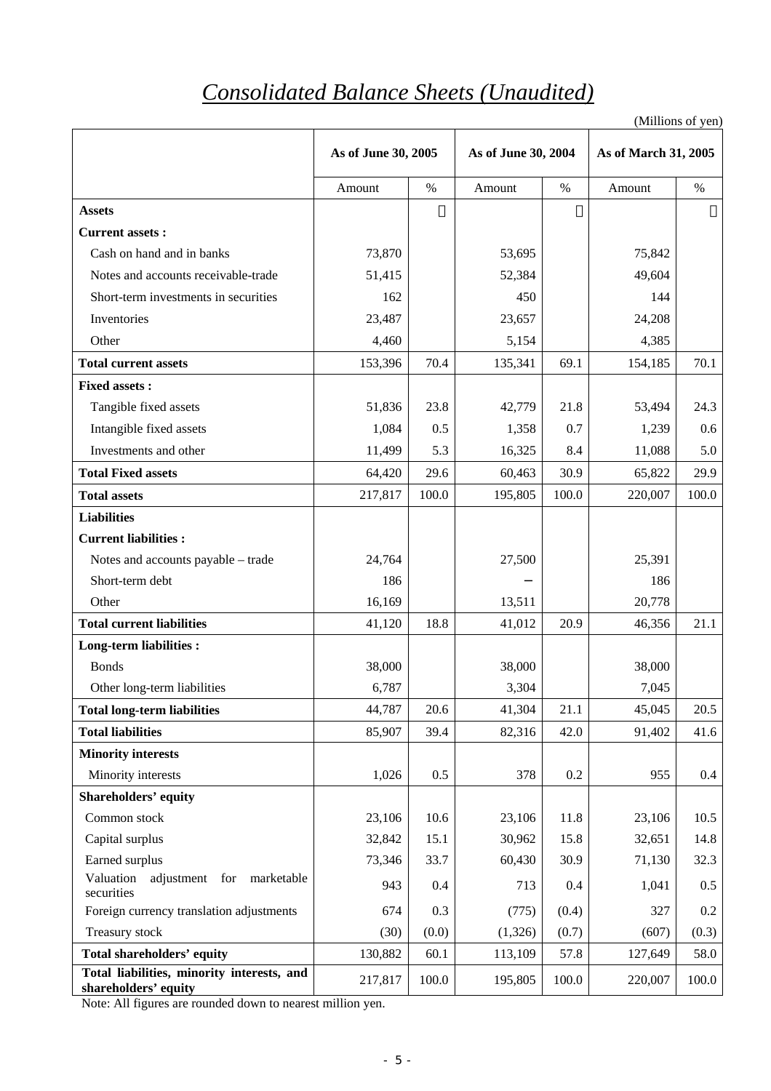# *Consolidated Balance Sheets (Unaudited)*

(Millions of yen)

|                                                                    | As of June 30, 2005 |       |         | As of June 30, 2004 |         | As of March 31, 2005 |
|--------------------------------------------------------------------|---------------------|-------|---------|---------------------|---------|----------------------|
|                                                                    | Amount              | $\%$  | Amount  | $\%$                | Amount  | $\%$                 |
| <b>Assets</b>                                                      |                     |       |         |                     |         |                      |
| <b>Current assets:</b>                                             |                     |       |         |                     |         |                      |
| Cash on hand and in banks                                          | 73,870              |       | 53,695  |                     | 75,842  |                      |
| Notes and accounts receivable-trade                                | 51,415              |       | 52,384  |                     | 49,604  |                      |
| Short-term investments in securities                               | 162                 |       | 450     |                     | 144     |                      |
| Inventories                                                        | 23,487              |       | 23,657  |                     | 24,208  |                      |
| Other                                                              | 4,460               |       | 5,154   |                     | 4,385   |                      |
| <b>Total current assets</b>                                        | 153,396             | 70.4  | 135,341 | 69.1                | 154,185 | 70.1                 |
| <b>Fixed assets:</b>                                               |                     |       |         |                     |         |                      |
| Tangible fixed assets                                              | 51,836              | 23.8  | 42,779  | 21.8                | 53,494  | 24.3                 |
| Intangible fixed assets                                            | 1,084               | 0.5   | 1,358   | 0.7                 | 1,239   | 0.6                  |
| Investments and other                                              | 11,499              | 5.3   | 16,325  | 8.4                 | 11,088  | 5.0                  |
| <b>Total Fixed assets</b>                                          | 64,420              | 29.6  | 60,463  | 30.9                | 65,822  | 29.9                 |
| <b>Total assets</b>                                                | 217,817             | 100.0 | 195,805 | 100.0               | 220,007 | 100.0                |
| <b>Liabilities</b>                                                 |                     |       |         |                     |         |                      |
| <b>Current liabilities:</b>                                        |                     |       |         |                     |         |                      |
| Notes and accounts payable - trade                                 | 24,764              |       | 27,500  |                     | 25,391  |                      |
| Short-term debt                                                    | 186                 |       |         |                     | 186     |                      |
| Other                                                              | 16,169              |       | 13,511  |                     | 20,778  |                      |
| <b>Total current liabilities</b>                                   | 41,120              | 18.8  | 41,012  | 20.9                | 46,356  | 21.1                 |
| <b>Long-term liabilities:</b>                                      |                     |       |         |                     |         |                      |
| <b>Bonds</b>                                                       | 38,000              |       | 38,000  |                     | 38,000  |                      |
| Other long-term liabilities                                        | 6,787               |       | 3,304   |                     | 7,045   |                      |
| <b>Total long-term liabilities</b>                                 | 44,787              | 20.6  | 41,304  | 21.1                | 45,045  | 20.5                 |
| <b>Total liabilities</b>                                           | 85,907              | 39.4  | 82,316  | 42.0                | 91,402  | 41.6                 |
| <b>Minority interests</b>                                          |                     |       |         |                     |         |                      |
| Minority interests                                                 | 1,026               | 0.5   | 378     | 0.2                 | 955     | 0.4                  |
| <b>Shareholders' equity</b>                                        |                     |       |         |                     |         |                      |
| Common stock                                                       | 23,106              | 10.6  | 23,106  | 11.8                | 23,106  | 10.5                 |
| Capital surplus                                                    | 32,842              | 15.1  | 30,962  | 15.8                | 32,651  | 14.8                 |
| Earned surplus                                                     | 73,346              | 33.7  | 60,430  | 30.9                | 71,130  | 32.3                 |
| Valuation<br>adjustment for marketable<br>securities               | 943                 | 0.4   | 713     | 0.4                 | 1,041   | 0.5                  |
| Foreign currency translation adjustments                           | 674                 | 0.3   | (775)   | (0.4)               | 327     | 0.2                  |
| Treasury stock                                                     | (30)                | (0.0) | (1,326) | (0.7)               | (607)   | (0.3)                |
| <b>Total shareholders' equity</b>                                  | 130,882             | 60.1  | 113,109 | 57.8                | 127,649 | 58.0                 |
| Total liabilities, minority interests, and<br>shareholders' equity | 217,817             | 100.0 | 195,805 | 100.0               | 220,007 | 100.0                |

Note: All figures are rounded down to nearest million yen.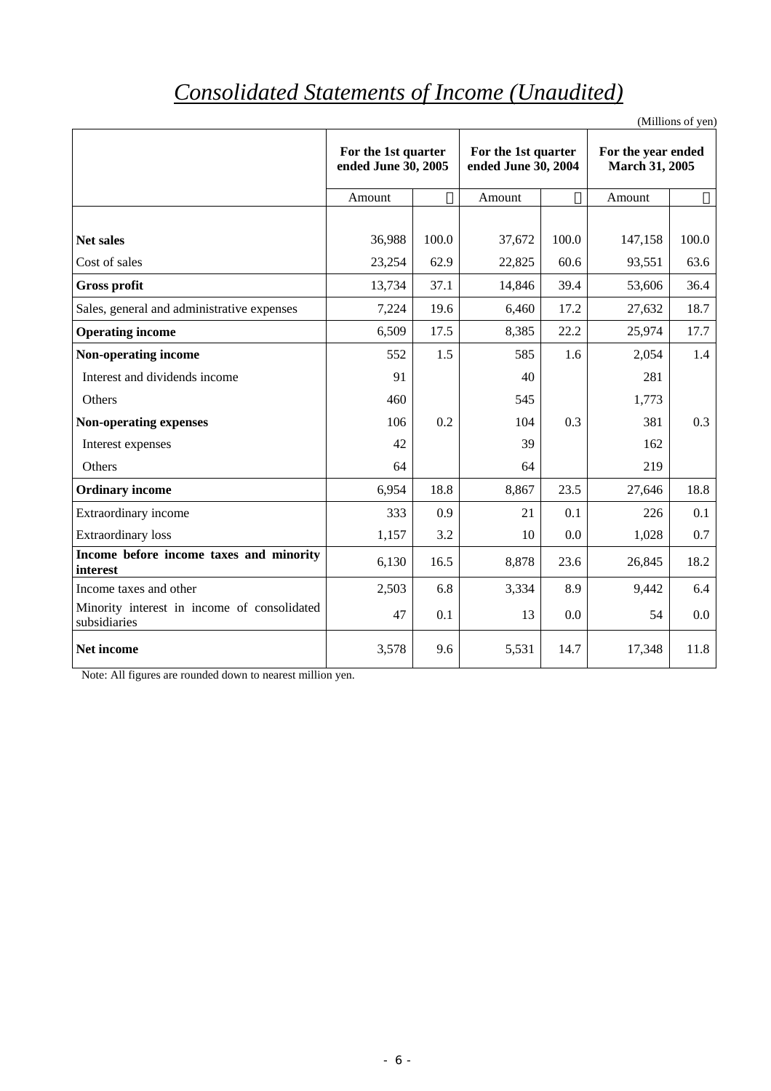# *Consolidated Statements of Income (Unaudited)*

(Millions of yen)

|                                                             | For the 1st quarter<br>ended June 30, 2005 |       | For the 1st quarter<br>ended June 30, 2004 |       | For the year ended<br>March 31, 2005 |       |
|-------------------------------------------------------------|--------------------------------------------|-------|--------------------------------------------|-------|--------------------------------------|-------|
|                                                             | Amount                                     |       | Amount                                     |       | Amount                               |       |
|                                                             |                                            |       |                                            |       |                                      |       |
| Net sales                                                   | 36,988                                     | 100.0 | 37,672                                     | 100.0 | 147,158                              | 100.0 |
| Cost of sales                                               | 23,254                                     | 62.9  | 22,825                                     | 60.6  | 93,551                               | 63.6  |
| <b>Gross profit</b>                                         | 13,734                                     | 37.1  | 14,846                                     | 39.4  | 53,606                               | 36.4  |
| Sales, general and administrative expenses                  | 7,224                                      | 19.6  | 6,460                                      | 17.2  | 27,632                               | 18.7  |
| <b>Operating income</b>                                     | 6,509                                      | 17.5  | 8,385                                      | 22.2  | 25,974                               | 17.7  |
| Non-operating income                                        | 552                                        | 1.5   | 585                                        | 1.6   | 2,054                                | 1.4   |
| Interest and dividends income                               | 91                                         |       | 40                                         |       | 281                                  |       |
| Others                                                      | 460                                        |       | 545                                        |       | 1,773                                |       |
| <b>Non-operating expenses</b>                               | 106                                        | 0.2   | 104                                        | 0.3   | 381                                  | 0.3   |
| Interest expenses                                           | 42                                         |       | 39                                         |       | 162                                  |       |
| Others                                                      | 64                                         |       | 64                                         |       | 219                                  |       |
| <b>Ordinary income</b>                                      | 6,954                                      | 18.8  | 8,867                                      | 23.5  | 27,646                               | 18.8  |
| <b>Extraordinary income</b>                                 | 333                                        | 0.9   | 21                                         | 0.1   | 226                                  | 0.1   |
| <b>Extraordinary</b> loss                                   | 1,157                                      | 3.2   | 10                                         | 0.0   | 1,028                                | 0.7   |
| Income before income taxes and minority<br>interest         | 6,130                                      | 16.5  | 8,878                                      | 23.6  | 26,845                               | 18.2  |
| Income taxes and other                                      | 2,503                                      | 6.8   | 3,334                                      | 8.9   | 9,442                                | 6.4   |
| Minority interest in income of consolidated<br>subsidiaries | 47                                         | 0.1   | 13                                         | 0.0   | 54                                   | 0.0   |
| Net income                                                  | 3,578                                      | 9.6   | 5,531                                      | 14.7  | 17,348                               | 11.8  |

Note: All figures are rounded down to nearest million yen.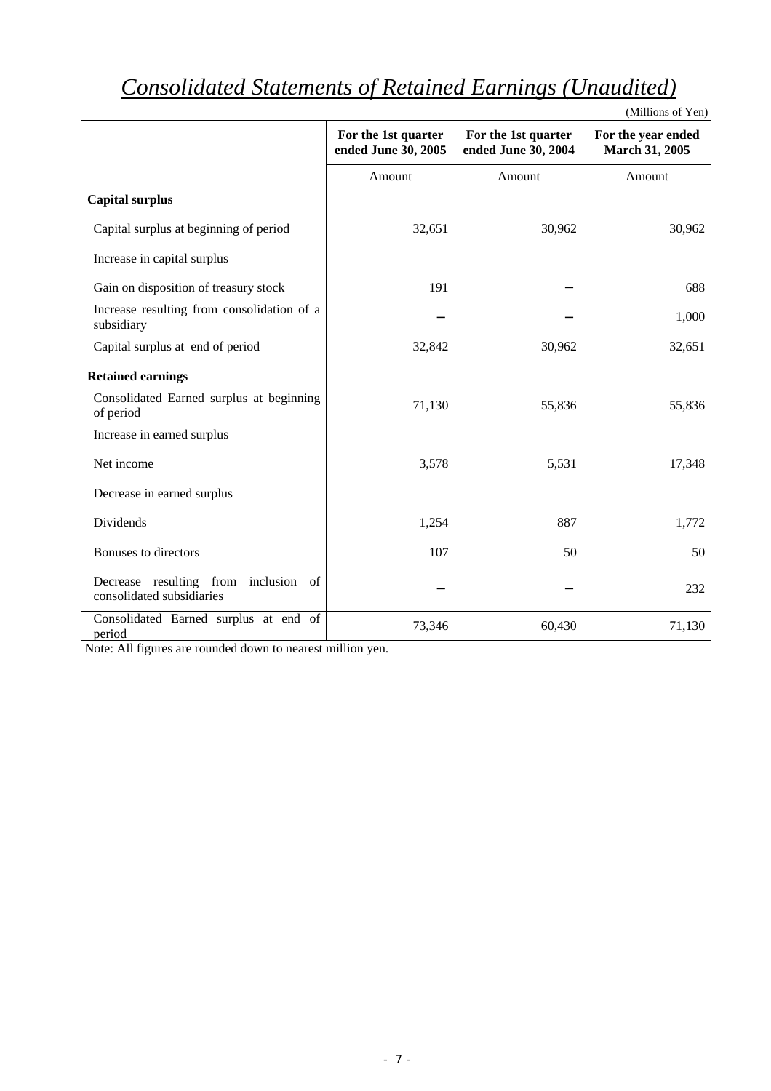# *Consolidated Statements of Retained Earnings (Unaudited)*

|                                                                   |                                            |                                            | (Millions of Yen)                    |
|-------------------------------------------------------------------|--------------------------------------------|--------------------------------------------|--------------------------------------|
|                                                                   | For the 1st quarter<br>ended June 30, 2005 | For the 1st quarter<br>ended June 30, 2004 | For the year ended<br>March 31, 2005 |
|                                                                   | Amount                                     | Amount                                     | Amount                               |
| <b>Capital surplus</b>                                            |                                            |                                            |                                      |
| Capital surplus at beginning of period                            | 32,651                                     | 30,962                                     | 30,962                               |
| Increase in capital surplus                                       |                                            |                                            |                                      |
| Gain on disposition of treasury stock                             | 191                                        |                                            | 688                                  |
| Increase resulting from consolidation of a<br>subsidiary          |                                            |                                            | 1,000                                |
| Capital surplus at end of period                                  | 32,842                                     | 30,962                                     | 32,651                               |
| <b>Retained earnings</b>                                          |                                            |                                            |                                      |
| Consolidated Earned surplus at beginning<br>of period             | 71,130                                     | 55,836                                     | 55,836                               |
| Increase in earned surplus                                        |                                            |                                            |                                      |
| Net income                                                        | 3,578                                      | 5,531                                      | 17,348                               |
| Decrease in earned surplus                                        |                                            |                                            |                                      |
| Dividends                                                         | 1,254                                      | 887                                        | 1,772                                |
| Bonuses to directors                                              | 107                                        | 50                                         | 50                                   |
| Decrease resulting from inclusion of<br>consolidated subsidiaries |                                            |                                            | 232                                  |
| Consolidated Earned surplus at end of<br>period                   | 73,346                                     | 60,430                                     | 71,130                               |

Note: All figures are rounded down to nearest million yen.